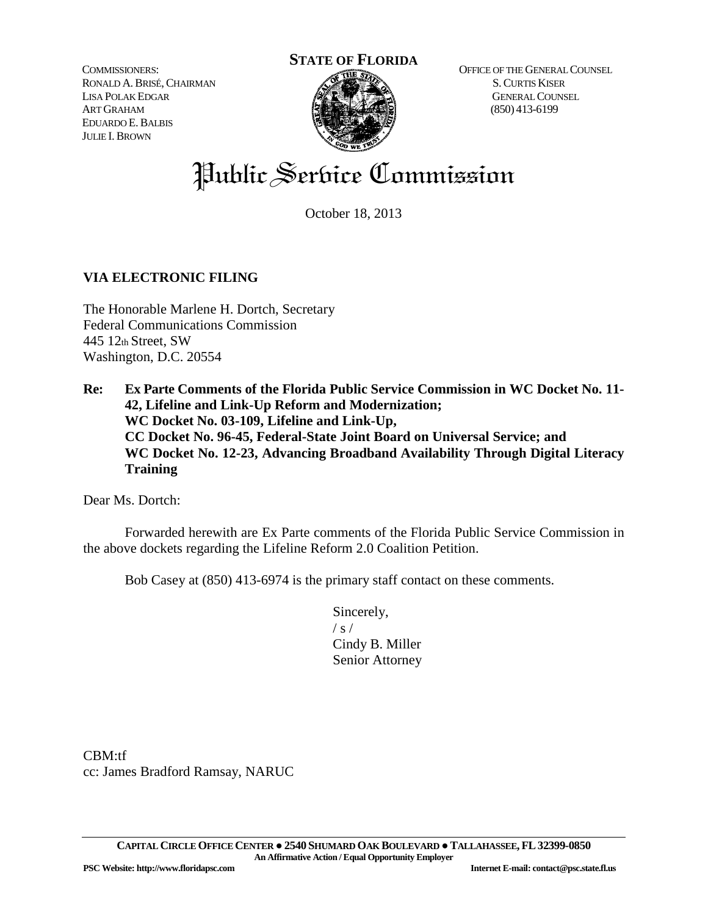COMMISSIONERS: RONALD A.BRISÉ,CHAIRMAN LISA POLAK EDGAR ART GRAHAM EDUARDO E.BALBIS JULIE I. BROWN



OFFICE OF THE GENERAL COUNSEL S.CURTIS KISER GENERAL COUNSEL (850) 413-6199

# Public Service Commission

October 18, 2013

#### **VIA ELECTRONIC FILING**

The Honorable Marlene H. Dortch, Secretary Federal Communications Commission 445 12th Street, SW Washington, D.C. 20554

**Re: Ex Parte Comments of the Florida Public Service Commission in WC Docket No. 11- 42, Lifeline and Link-Up Reform and Modernization; WC Docket No. 03-109, Lifeline and Link-Up, CC Docket No. 96-45, Federal-State Joint Board on Universal Service; and WC Docket No. 12-23, Advancing Broadband Availability Through Digital Literacy Training**

Dear Ms. Dortch:

Forwarded herewith are Ex Parte comments of the Florida Public Service Commission in the above dockets regarding the Lifeline Reform 2.0 Coalition Petition.

Bob Casey at (850) 413-6974 is the primary staff contact on these comments.

Sincerely,  $/ s /$ Cindy B. Miller Senior Attorney

CBM:tf cc: James Bradford Ramsay, NARUC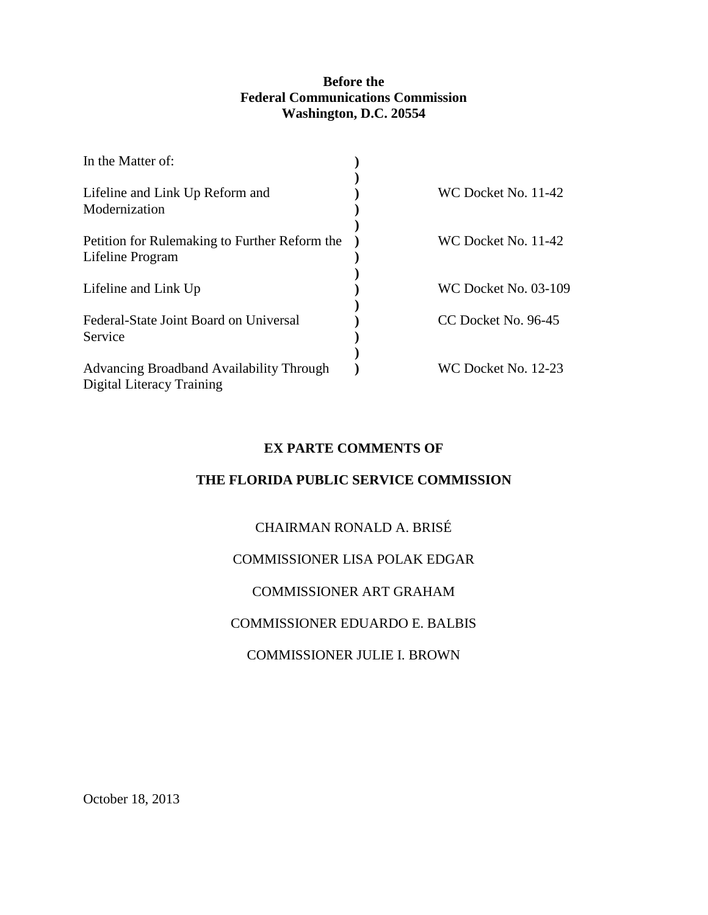#### **Before the Federal Communications Commission Washington, D.C. 20554**

| In the Matter of:                                                     |                             |
|-----------------------------------------------------------------------|-----------------------------|
| Lifeline and Link Up Reform and<br>Modernization                      | WC Docket No. 11-42         |
| Petition for Rulemaking to Further Reform the<br>Lifeline Program     | WC Docket No. 11-42         |
| Lifeline and Link Up                                                  | <b>WC Docket No. 03-109</b> |
| Federal-State Joint Board on Universal<br>Service                     | CC Docket No. 96-45         |
| Advancing Broadband Availability Through<br>Digital Literacy Training | WC Docket No. 12-23         |

#### **EX PARTE COMMENTS OF**

#### **THE FLORIDA PUBLIC SERVICE COMMISSION**

#### CHAIRMAN RONALD A. BRISÉ

#### COMMISSIONER LISA POLAK EDGAR

#### COMMISSIONER ART GRAHAM

#### COMMISSIONER EDUARDO E. BALBIS

#### COMMISSIONER JULIE I. BROWN

October 18, 2013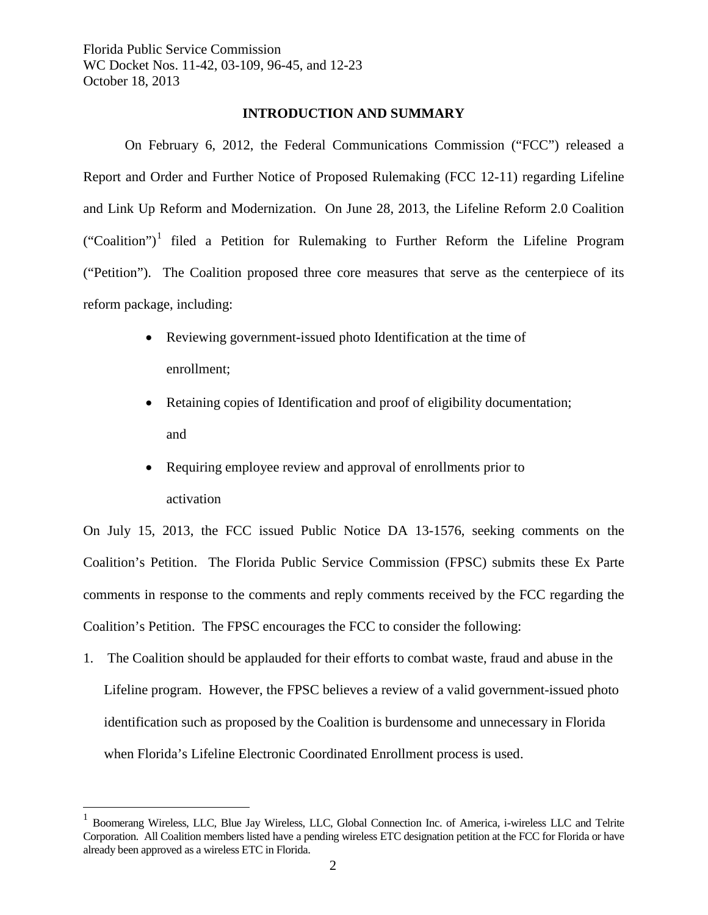#### **INTRODUCTION AND SUMMARY**

On February 6, 2012, the Federal Communications Commission ("FCC") released a Report and Order and Further Notice of Proposed Rulemaking (FCC 12-11) regarding Lifeline and Link Up Reform and Modernization. On June 28, 2013, the Lifeline Reform 2.0 Coalition  $("Coalition")<sup>1</sup>$  $("Coalition")<sup>1</sup>$  $("Coalition")<sup>1</sup>$  filed a Petition for Rulemaking to Further Reform the Lifeline Program ("Petition"). The Coalition proposed three core measures that serve as the centerpiece of its reform package, including:

- Reviewing government-issued photo Identification at the time of enrollment;
- Retaining copies of Identification and proof of eligibility documentation; and
- Requiring employee review and approval of enrollments prior to activation

On July 15, 2013, the FCC issued Public Notice DA 13-1576, seeking comments on the Coalition's Petition. The Florida Public Service Commission (FPSC) submits these Ex Parte comments in response to the comments and reply comments received by the FCC regarding the Coalition's Petition. The FPSC encourages the FCC to consider the following:

1. The Coalition should be applauded for their efforts to combat waste, fraud and abuse in the Lifeline program. However, the FPSC believes a review of a valid government-issued photo identification such as proposed by the Coalition is burdensome and unnecessary in Florida when Florida's Lifeline Electronic Coordinated Enrollment process is used.

<span id="page-2-0"></span> <sup>1</sup> Boomerang Wireless, LLC, Blue Jay Wireless, LLC, Global Connection Inc. of America, i-wireless LLC and Telrite Corporation. All Coalition members listed have a pending wireless ETC designation petition at the FCC for Florida or have already been approved as a wireless ETC in Florida.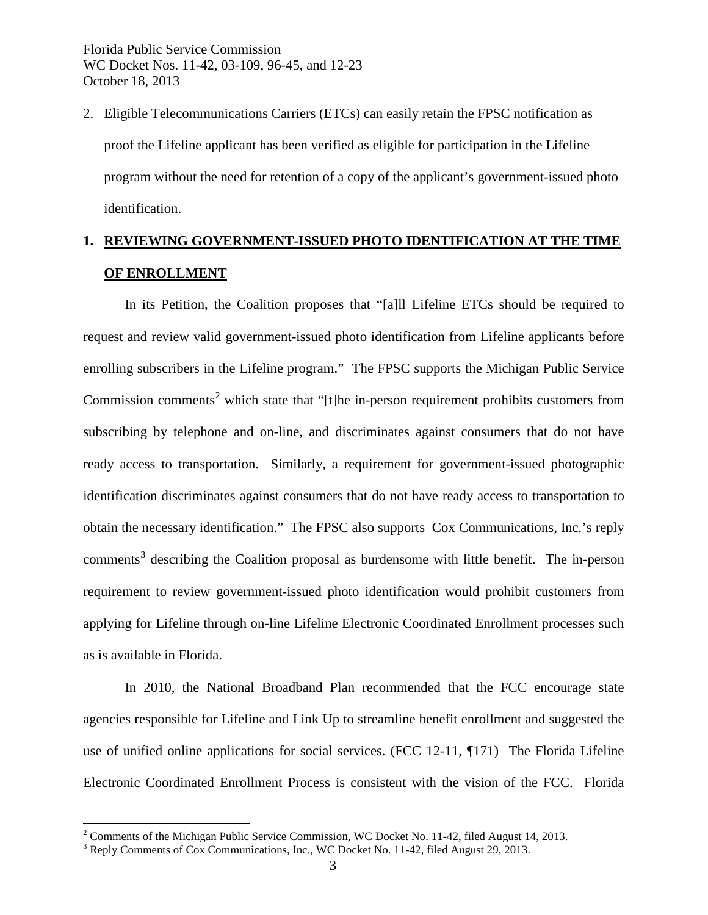2. Eligible Telecommunications Carriers (ETCs) can easily retain the FPSC notification as proof the Lifeline applicant has been verified as eligible for participation in the Lifeline program without the need for retention of a copy of the applicant's government-issued photo identification.

### **1. REVIEWING GOVERNMENT-ISSUED PHOTO IDENTIFICATION AT THE TIME OF ENROLLMENT**

In its Petition, the Coalition proposes that "[a]ll Lifeline ETCs should be required to request and review valid government-issued photo identification from Lifeline applicants before enrolling subscribers in the Lifeline program." The FPSC supports the Michigan Public Service Commission comments<sup>[2](#page-3-0)</sup> which state that "[t]he in-person requirement prohibits customers from subscribing by telephone and on-line, and discriminates against consumers that do not have ready access to transportation. Similarly, a requirement for government-issued photographic identification discriminates against consumers that do not have ready access to transportation to obtain the necessary identification." The FPSC also supports Cox Communications, Inc.'s reply  $comments<sup>3</sup>$  $comments<sup>3</sup>$  $comments<sup>3</sup>$  describing the Coalition proposal as burdensome with little benefit. The in-person requirement to review government-issued photo identification would prohibit customers from applying for Lifeline through on-line Lifeline Electronic Coordinated Enrollment processes such as is available in Florida.

In 2010, the National Broadband Plan recommended that the FCC encourage state agencies responsible for Lifeline and Link Up to streamline benefit enrollment and suggested the use of unified online applications for social services. (FCC 12-11, ¶171) The Florida Lifeline Electronic Coordinated Enrollment Process is consistent with the vision of the FCC. Florida

<span id="page-3-0"></span><sup>&</sup>lt;sup>2</sup> Comments of the Michigan Public Service Commission, WC Docket No. 11-42, filed August 14, 2013.  $3$  Reply Comments of Cox Communications, Inc., WC Docket No. 11-42, filed August 29, 2013.

<span id="page-3-1"></span>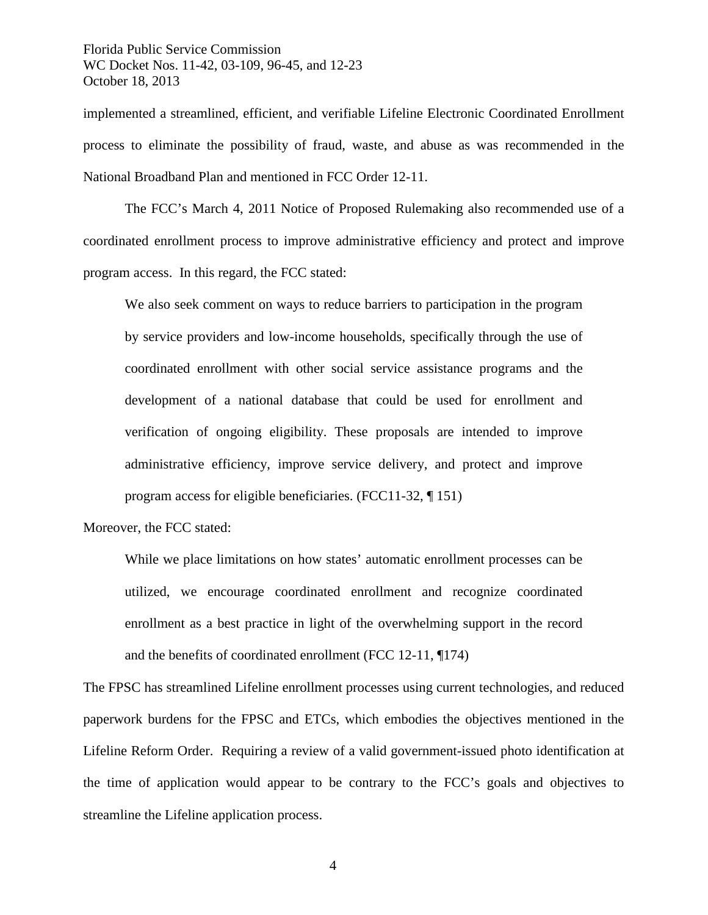implemented a streamlined, efficient, and verifiable Lifeline Electronic Coordinated Enrollment process to eliminate the possibility of fraud, waste, and abuse as was recommended in the National Broadband Plan and mentioned in FCC Order 12-11.

The FCC's March 4, 2011 Notice of Proposed Rulemaking also recommended use of a coordinated enrollment process to improve administrative efficiency and protect and improve program access. In this regard, the FCC stated:

We also seek comment on ways to reduce barriers to participation in the program by service providers and low-income households, specifically through the use of coordinated enrollment with other social service assistance programs and the development of a national database that could be used for enrollment and verification of ongoing eligibility. These proposals are intended to improve administrative efficiency, improve service delivery, and protect and improve program access for eligible beneficiaries. (FCC11-32, ¶ 151)

Moreover, the FCC stated:

While we place limitations on how states' automatic enrollment processes can be utilized, we encourage coordinated enrollment and recognize coordinated enrollment as a best practice in light of the overwhelming support in the record and the benefits of coordinated enrollment (FCC 12-11, ¶174)

The FPSC has streamlined Lifeline enrollment processes using current technologies, and reduced paperwork burdens for the FPSC and ETCs, which embodies the objectives mentioned in the Lifeline Reform Order. Requiring a review of a valid government-issued photo identification at the time of application would appear to be contrary to the FCC's goals and objectives to streamline the Lifeline application process.

4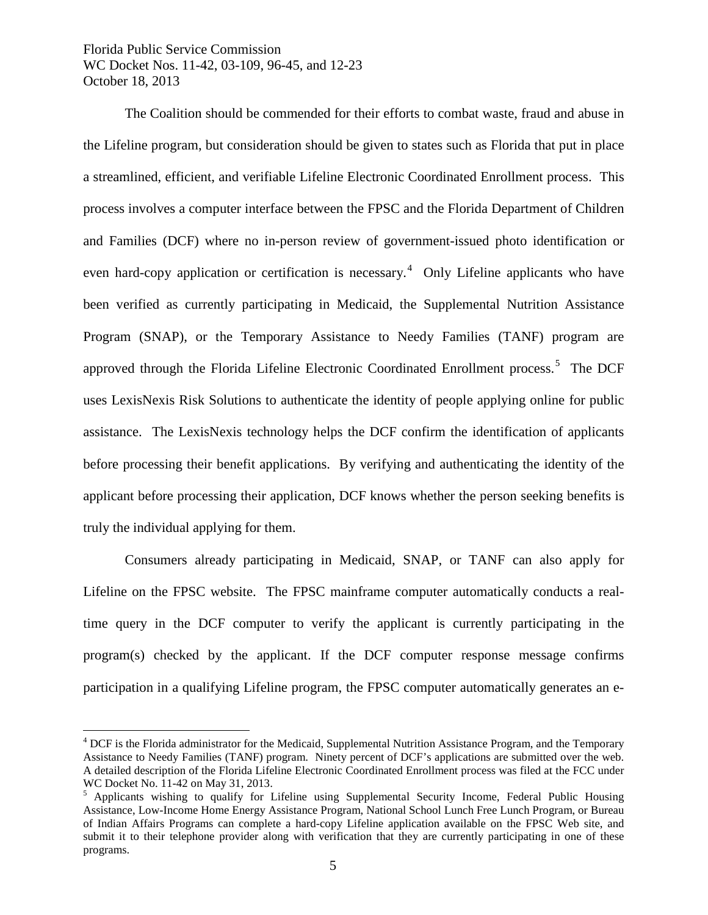The Coalition should be commended for their efforts to combat waste, fraud and abuse in the Lifeline program, but consideration should be given to states such as Florida that put in place a streamlined, efficient, and verifiable Lifeline Electronic Coordinated Enrollment process. This process involves a computer interface between the FPSC and the Florida Department of Children and Families (DCF) where no in-person review of government-issued photo identification or even hard-copy application or certification is necessary.<sup>[4](#page-5-0)</sup> Only Lifeline applicants who have been verified as currently participating in Medicaid, the Supplemental Nutrition Assistance Program (SNAP), or the Temporary Assistance to Needy Families (TANF) program are approved through the Florida Lifeline Electronic Coordinated Enrollment process.<sup>[5](#page-5-1)</sup> The DCF uses LexisNexis Risk Solutions to authenticate the identity of people applying online for public assistance. The LexisNexis technology helps the DCF confirm the identification of applicants before processing their benefit applications. By verifying and authenticating the identity of the applicant before processing their application, DCF knows whether the person seeking benefits is truly the individual applying for them.

Consumers already participating in Medicaid, SNAP, or TANF can also apply for Lifeline on the FPSC website. The FPSC mainframe computer automatically conducts a realtime query in the DCF computer to verify the applicant is currently participating in the program(s) checked by the applicant. If the DCF computer response message confirms participation in a qualifying Lifeline program, the FPSC computer automatically generates an e-

<span id="page-5-0"></span><sup>&</sup>lt;sup>4</sup> DCF is the Florida administrator for the Medicaid, Supplemental Nutrition Assistance Program, and the Temporary Assistance to Needy Families (TANF) program. Ninety percent of DCF's applications are submitted over the web. A detailed description of the Florida Lifeline Electronic Coordinated Enrollment process was filed at the FCC under WC Docket No. 11-42 on May 31, 2013.<br><sup>5</sup> Applicants wishing to qualify for Lifeline using Supplemental Security Income, Federal Public Housing

<span id="page-5-1"></span>Assistance, Low-Income Home Energy Assistance Program, National School Lunch Free Lunch Program, or Bureau of Indian Affairs Programs can complete a hard-copy Lifeline application available on the FPSC Web site, and submit it to their telephone provider along with verification that they are currently participating in one of these programs.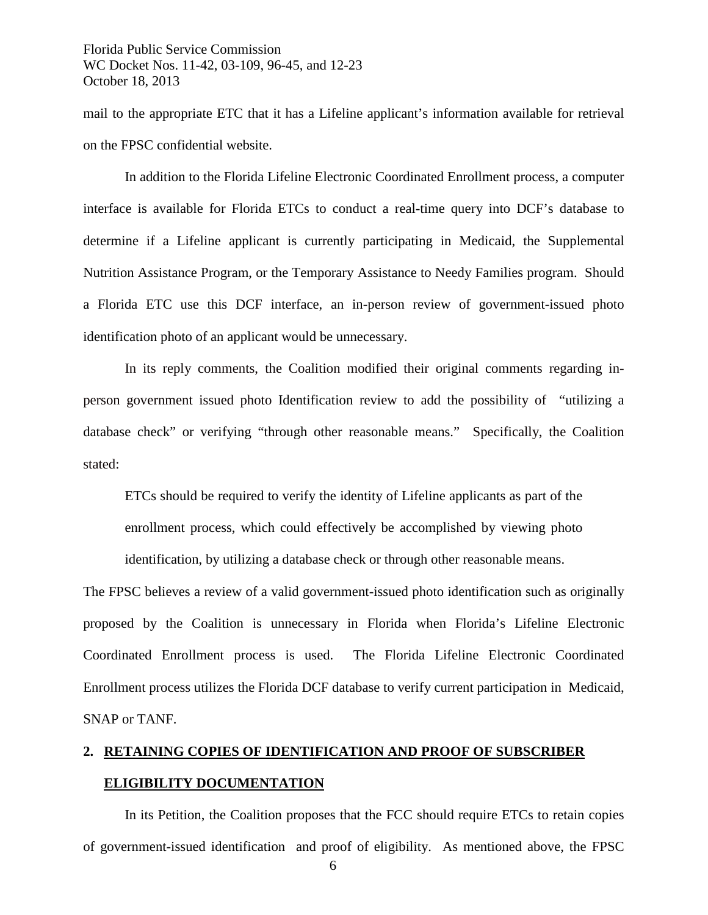mail to the appropriate ETC that it has a Lifeline applicant's information available for retrieval on the FPSC confidential website.

In addition to the Florida Lifeline Electronic Coordinated Enrollment process, a computer interface is available for Florida ETCs to conduct a real-time query into DCF's database to determine if a Lifeline applicant is currently participating in Medicaid, the Supplemental Nutrition Assistance Program, or the Temporary Assistance to Needy Families program. Should a Florida ETC use this DCF interface, an in-person review of government-issued photo identification photo of an applicant would be unnecessary.

In its reply comments, the Coalition modified their original comments regarding inperson government issued photo Identification review to add the possibility of "utilizing a database check" or verifying "through other reasonable means." Specifically, the Coalition stated:

ETCs should be required to verify the identity of Lifeline applicants as part of the enrollment process, which could effectively be accomplished by viewing photo

identification, by utilizing a database check or through other reasonable means.

The FPSC believes a review of a valid government-issued photo identification such as originally proposed by the Coalition is unnecessary in Florida when Florida's Lifeline Electronic Coordinated Enrollment process is used. The Florida Lifeline Electronic Coordinated Enrollment process utilizes the Florida DCF database to verify current participation in Medicaid, SNAP or TANF.

## **2. RETAINING COPIES OF IDENTIFICATION AND PROOF OF SUBSCRIBER ELIGIBILITY DOCUMENTATION**

In its Petition, the Coalition proposes that the FCC should require ETCs to retain copies of government-issued identification and proof of eligibility. As mentioned above, the FPSC